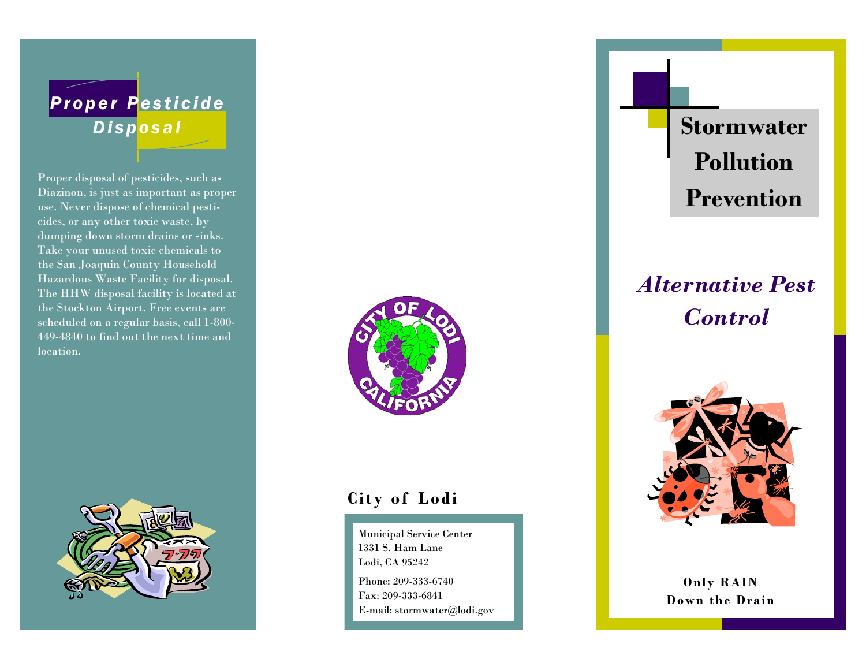# *Proper Pesticide*

Proper disposal of pesticides, such as Diazinon, is just as important as proper use. Never dispose of chemical pesticides, or any other toxic waste, by dumping down storm drains or sinks. Take your unused toxic chemicals to the San Joaquin County Household Hazardous Waste Facility for disposal. The HHW disposal facility is located at the Stockton Airport. Free events are scheduled on a regular basis, call 1-800- 449-4840 to find out the next time and location.





## **City of Lodi**

Municipal Service Center 1331 S. Ham Lane Lodi, CA 95242 Phone: 209-333-6740 Fax: 209-333-6841

E-mail: stormwater@lodi.gov

**Disposal Disposal Stormwater Pollution Prevention** 

# *Alternative Pest Control*



**Only RAIN Down the Drain**